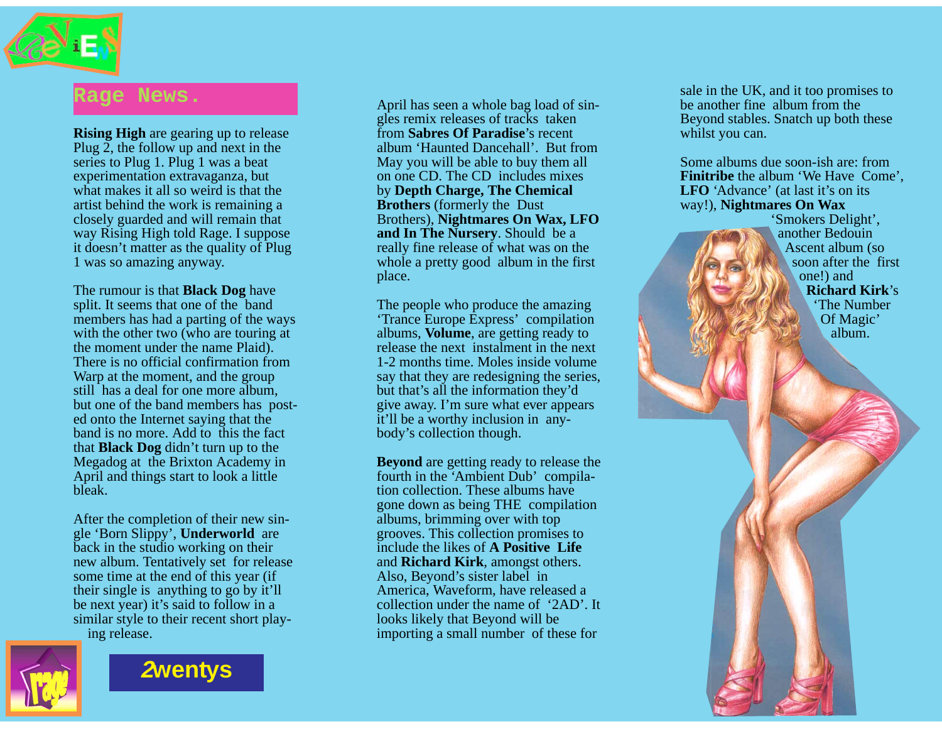

### **Rage News.**

**Rising High** are gearing up to release Plug 2, the follow up and next in the series to Plug 1. Plug 1 was a beat experimentation extravaganza, but what makes it all so weird is that the artist behind the work is remaining a closely guarded and will remain that way Rising High told Rage. I suppose it doesn't matter as the quality of Plug 1 was so amazing anyway.

The rumour is that **Black Dog** have split. It seems that one of the band members has had a parting of the ways with the other two (who are touring at the moment under the name Plaid). There is no official confirmation from Warp at the moment, and the group still has a deal for one more album, but one of the band members has posted onto the Internet saying that the band is no more. Add to this the fact that **Black Dog** didn't turn up to the Megadog at the Brixton Academy in April and things start to look a little bleak.

After the completion of their new single 'Born Slippy', **Underworld** are back in the studio working on their new album. Tentatively set for release some time at the end of this year (if their single is anything to go by it'll be next year) it's said to follow in a similar style to their recent short playing release.



**[2wentys](#page-7-0)**

April has seen a whole bag load of singles remix releases of tracks taken from **Sabres Of Paradise**'s recent album 'Haunted Dancehall'. But from May you will be able to buy them all on one CD. The CD includes mixes by **Depth Charge, The Chemical Brothers** (formerly the Dust Brothers), **Nightmares On Wax, LFO and In The Nursery**. Should be a really fine release of what was on the whole a pretty good album in the first place.

The people who produce the amazing 'Trance Europe Express' compilation albums, **Volume**, are getting ready to release the next instalment in the next 1-2 months time. Moles inside volume say that they are redesigning the series, but that's all the information they'd give away. I'm sure what ever appears it'll be a worthy inclusion in anybody's collection though.

**Beyond** are getting ready to release the fourth in the 'Ambient Dub' compilation collection. These albums have gone down as being THE compilation albums, brimming over with top grooves. This collection promises to include the likes of **A Positive Life** and **Richard Kirk**, amongst others. Also, Beyond's sister label in America, Waveform, have released a collection under the name of '2AD'. It looks likely that Beyond will be importing a small number of these for

sale in the UK, and it too promises to be another fine album from the Beyond stables. Snatch up both these whilst you can.

Some albums due soon-ish are: from **Finitribe** the album 'We Have Come', LFO 'Advance' (at last it's on its way!), **Nightmares On Wax**

> 'Smokers Delight', another Bedouin Ascent album (so soon after the first

> > one!) and

**Richard Kirk**'s 'The Number Of Magic' album.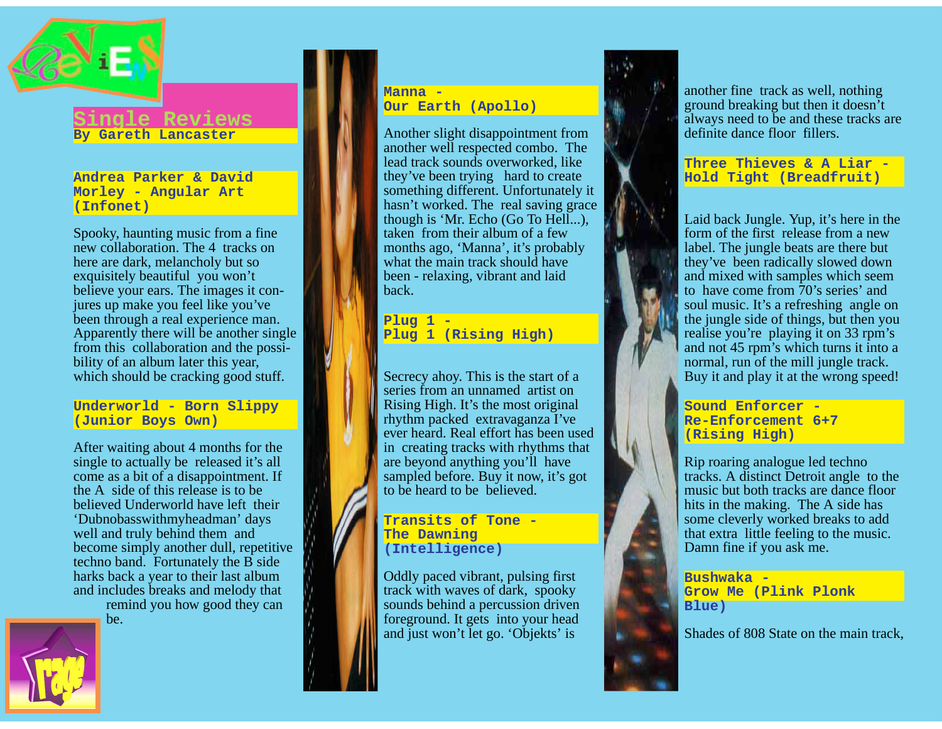

#### **Single Reviews By Gareth Lancaster**

**Andrea Parker & David Morley - Angular Art (Infonet)**

Spooky, haunting music from a fine new collaboration. The 4 tracks on here are dark, melancholy but so exquisitely beautiful you won't believe your ears. The images it conjures up make you feel like you've been through a real experience man. Apparently there will be another single from this collaboration and the possibility of an album later this year, which should be cracking good stuff.

**Underworld - Born Slippy (Junior Boys Own)**

After waiting about 4 months for the single to actually be released it's all come as a bit of a disappointment. If the A side of this release is to be believed Underworld have left their 'Dubnobasswithmyheadman' days well and truly behind them and become simply another dull, repetitive techno band. Fortunately the B side harks back a year to their last album and includes breaks and melody that remind you how good they can

be.



#### **Manna - Our Earth (Apollo)**

Another slight disappointment from another well respected combo. The lead track sounds overworked, like they've been trying hard to create something different. Unfortunately it hasn't worked. The real saving grace though is 'Mr. Echo (Go To Hell...), taken from their album of a few months ago, 'Manna', it's probably what the main track should have been - relaxing, vibrant and laid back.

**Plug 1 - Plug 1 (Rising High)**

Secrecy ahoy. This is the start of a series from an unnamed artist on Rising High. It's the most original rhythm packed extravaganza I've ever heard. Real effort has been used in creating tracks with rhythms that are beyond anything you'll have sampled before. Buy it now, it's got to be heard to be believed.

#### **Transits of Tone - The Dawning (Intelligence)**

Oddly paced vibrant, pulsing first track with waves of dark, spooky sounds behind a percussion driven foreground. It gets into your head and just won't let go. 'Objekts' is



another fine track as well, nothing ground breaking but then it doesn't always need to be and these tracks are definite dance floor fillers.

**Three Thieves & A Liar - Hold Tight (Breadfruit)**

Laid back Jungle. Yup, it's here in the form of the first release from a new label. The jungle beats are there but they've been radically slowed down and mixed with samples which seem to have come from 70's series' and soul music. It's a refreshing angle on the jungle side of things, but then you realise you're playing it on 33 rpm's and not 45 rpm's which turns it into a normal, run of the mill jungle track. Buy it and play it at the wrong speed!

**Sound Enforcer - Re-Enforcement 6+7 (Rising High)**

Rip roaring analogue led techno tracks. A distinct Detroit angle to the music but both tracks are dance floor hits in the making. The A side has some cleverly worked breaks to add that extra little feeling to the music. Damn fine if you ask me.

#### **Bushwaka - Grow Me (Plink Plonk Blue)**

Shades of 808 State on the main track,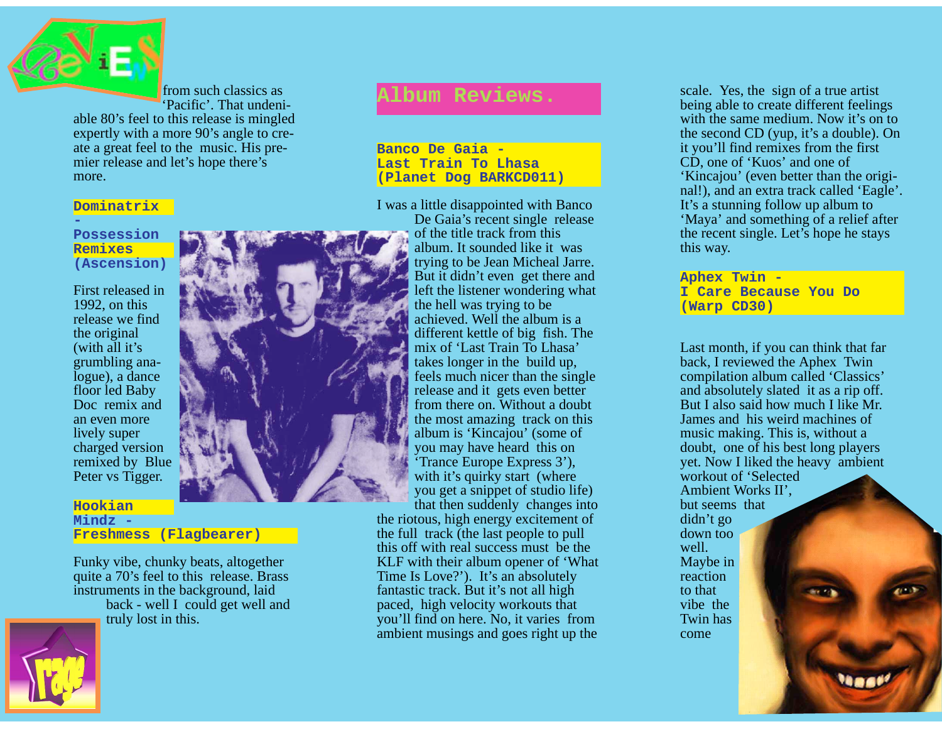

more.

from such classics as 'Pacific'. That undeniable 80's feel to this release is mingled expertly with a more 90's angle to create a great feel to the music. His premier release and let's hope there's

#### **Dominatrix**

**Possession Remixes (Ascension)**

First released in 1992, on this release we find the original (with all it's grumbling analogue), a dance floor led Baby Doc remix and an even more lively super charged version remixed by Blue Peter vs Tigger.

#### **Hookian Mindz - Freshmess (Flagbearer)**

Funky vibe, chunky beats, altogether quite a 70's feel to this release. Brass instruments in the background, laid

back - well I could get well and truly lost in this.

## **Album Reviews.**

**Banco De Gaia - Last Train To Lhasa (Planet Dog BARKCD011)** 

I was a little disappointed with Banco De Gaia's recent single release of the title track from this album. It sounded like it was trying to be Jean Micheal Jarre. But it didn't even get there and left the listener wondering what the hell was trying to be achieved. Well the album is a different kettle of big fish. The mix of 'Last Train To Lhasa' takes longer in the build up, feels much nicer than the single release and it gets even better from there on. Without a doubt the most amazing track on this album is 'Kincajou' (some of you may have heard this on 'Trance Europe Express 3'), with it's quirky start (where you get a snippet of studio life) that then suddenly changes into

the riotous, high energy excitement of the full track (the last people to pull this off with real success must be the KLF with their album opener of 'What Time Is Love?'). It's an absolutely fantastic track. But it's not all high paced, high velocity workouts that you'll find on here. No, it varies from ambient musings and goes right up the

scale. Yes, the sign of a true artist being able to create different feelings with the same medium. Now it's on to the second CD (yup, it's a double). On it you'll find remixes from the first CD, one of 'Kuos' and one of 'Kincajou' (even better than the original!), and an extra track called 'Eagle'. It's a stunning follow up album to 'Maya' and something of a relief after the recent single. Let's hope he stays this way.

**Aphex Twin - I Care Because You Do (Warp CD30)**

Last month, if you can think that far back, I reviewed the Aphex Twin compilation album called 'Classics' and absolutely slated it as a rip off. But I also said how much I like Mr. James and his weird machines of music making. This is, without a doubt, one of his best long players yet. Now I liked the heavy ambient workout of 'Selected

Ambient Works II', but seems that didn't go down too well. Maybe in reaction to that vibe the Twin has come

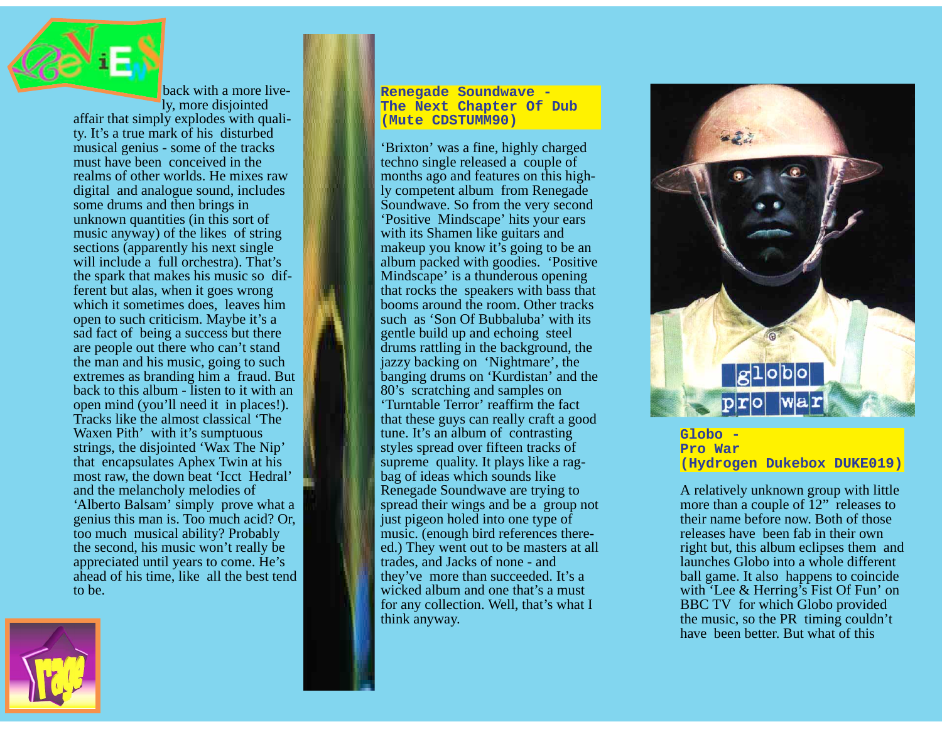back with a more lively, more disjointed

affair that simply explodes with quality. It's a true mark of his disturbed musical genius - some of the tracks must have been conceived in the realms of other worlds. He mixes raw digital and analogue sound, includes some drums and then brings in unknown quantities (in this sort of music anyway) of the likes of string sections (apparently his next single will include a full orchestra). That's the spark that makes his music so different but alas, when it goes wrong which it sometimes does, leaves him open to such criticism. Maybe it's a sad fact of being a success but there are people out there who can't stand the man and his music, going to such extremes as branding him a fraud. But back to this album - listen to it with an open mind (you'll need it in places!). Tracks like the almost classical 'The Waxen Pith' with it's sumptuous strings, the disjointed 'Wax The Nip' that encapsulates Aphex Twin at his most raw, the down beat 'Icct Hedral' and the melancholy melodies of 'Alberto Balsam' simply prove what a genius this man is. Too much acid? Or, too much musical ability? Probably the second, his music won't really be appreciated until years to come. He's ahead of his time, like all the best tend to be.



**Renegade Soundwave - The Next Chapter Of Dub (Mute CDSTUMM90)** 

'Brixton' was a fine, highly charged techno single released a couple of months ago and features on this highly competent album from Renegade Soundwave. So from the very second 'Positive Mindscape' hits your ears with its Shamen like guitars and makeup you know it's going to be an album packed with goodies. 'Positive Mindscape' is a thunderous opening that rocks the speakers with bass that booms around the room. Other tracks such as 'Son Of Bubbaluba' with its gentle build up and echoing steel drums rattling in the background, the jazzy backing on 'Nightmare', the banging drums on 'Kurdistan' and the 80's scratching and samples on 'Turntable Terror' reaffirm the fact that these guys can really craft a good tune. It's an album of contrasting styles spread over fifteen tracks of supreme quality. It plays like a ragbag of ideas which sounds like Renegade Soundwave are trying to spread their wings and be a group not just pigeon holed into one type of music. (enough bird references thereed.) They went out to be masters at all trades, and Jacks of none - and they've more than succeeded. It's a wicked album and one that's a must for any collection. Well, that's what I think anyway.



**Globo - Pro War (Hydrogen Dukebox DUKE019)**

A relatively unknown group with little more than a couple of 12" releases to their name before now. Both of those releases have been fab in their own right but, this album eclipses them and launches Globo into a whole different ball game. It also happens to coincide with 'Lee & Herring's Fist Of Fun' on BBC TV for which Globo provided the music, so the PR timing couldn't have been better. But what of this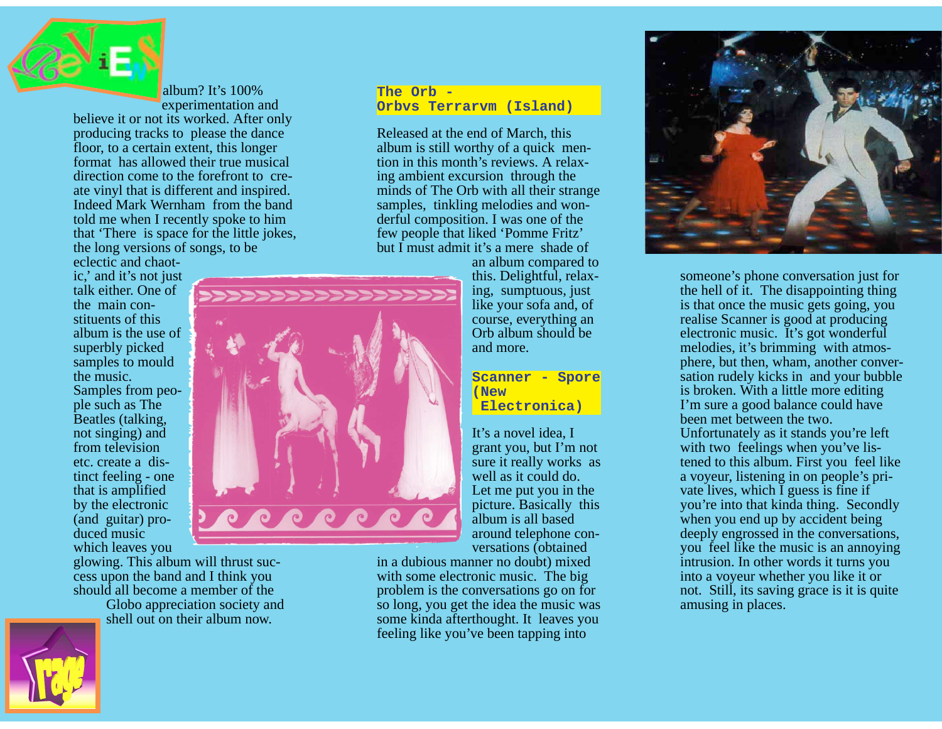

album? It's 100% experimentation and

believe it or not its worked. After only producing tracks to please the dance floor, to a certain extent, this longer format has allowed their true musical direction come to the forefront to create vinyl that is different and inspired. Indeed Mark Wernham from the band told me when I recently spoke to him that 'There is space for the little jokes, the long versions of songs, to be

eclectic and chaotic,' and it's not just talk either. One of the main constituents of this album is the use of superbly picked samples to mould the music. Samples from people such as The Beatles (talking, not singing) and from television etc. create a distinct feeling - one that is amplified by the electronic (and guitar) produced music which leaves you

glowing. This album will thrust success upon the band and I think you should all become a member of the

Globo appreciation society and shell out on their album now.



Released at the end of March, this album is still worthy of a quick mention in this month's reviews. A relaxing ambient excursion through the minds of The Orb with all their strange samples, tinkling melodies and wonderful composition. I was one of the few people that liked 'Pomme Fritz' but I must admit it's a mere shade of

> an album compared to this. Delightful, relaxing, sumptuous, just like your sofa and, of course, everything an Orb album should be and more.

#### **Scanner - Spore (New Electronica)**

It's a novel idea, I grant you, but I'm not sure it really works as well as it could do. Let me put you in the picture. Basically this album is all based around telephone conversations (obtained

in a dubious manner no doubt) mixed with some electronic music. The big problem is the conversations go on for so long, you get the idea the music was some kinda afterthought. It leaves you feeling like you've been tapping into



someone's phone conversation just for the hell of it. The disappointing thing is that once the music gets going, you realise Scanner is good at producing electronic music. It's got wonderful melodies, it's brimming with atmosphere, but then, wham, another conversation rudely kicks in and your bubble is broken. With a little more editing I'm sure a good balance could have been met between the two. Unfortunately as it stands you're left with two feelings when you've listened to this album. First you feel like a voyeur, listening in on people's private lives, which I guess is fine if you're into that kinda thing. Secondly when you end up by accident being deeply engrossed in the conversations, you feel like the music is an annoying intrusion. In other words it turns you into a voyeur whether you like it or not. Still, its saving grace is it is quite amusing in places.



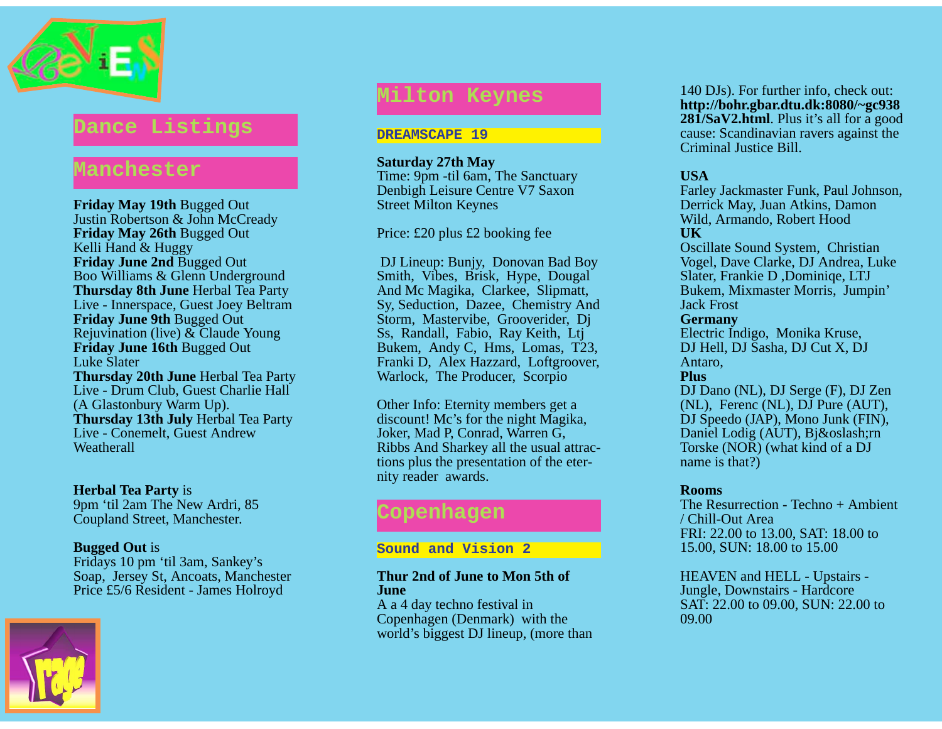

### **Dance Listings**

### **Manchester**

**Friday May 19th** Bugged Out Justin Robertson & John McCready **Friday May 26th** Bugged Out Kelli Hand & Huggy **Friday June 2nd** Bugged Out Boo Williams & Glenn Underground **Thursday 8th June** Herbal Tea Party Live - Innerspace, Guest Joey Beltram **Friday June 9th** Bugged Out Rejuvination (live) & Claude Young **Friday June 16th** Bugged Out Luke Slater **Thursday 20th June** Herbal Tea Party Live - Drum Club, Guest Charlie Hall (A Glastonbury Warm Up). **Thursday 13th July** Herbal Tea Party Live - Conemelt, Guest Andrew **Weatherall** 

#### **Herbal Tea Party** is

9pm 'til 2am The New Ardri, 85 Coupland Street, Manchester.

#### **Bugged Out** is

Fridays 10 pm 'til 3am, Sankey's Soap, Jersey St, Ancoats, Manchester Price £5/6 Resident - James Holroyd



## **Milton Keynes**

#### **DREAMSCAPE 19**

#### **Saturday 27th May**

Time: 9pm -til 6am, The Sanctuary Denbigh Leisure Centre V7 Saxon Street Milton Keynes

Price: £20 plus £2 booking fee

DJ Lineup: Bunjy, Donovan Bad Boy Smith, Vibes, Brisk, Hype, Dougal And Mc Magika, Clarkee, Slipmatt, Sy, Seduction, Dazee, Chemistry And Storm, Mastervibe, Grooverider, Dj Ss, Randall, Fabio, Ray Keith, Ltj Bukem, Andy C, Hms, Lomas, T23, Franki D, Alex Hazzard, Loftgroover, Warlock, The Producer, Scorpio

Other Info: Eternity members get a discount! Mc's for the night Magika, Joker, Mad P, Conrad, Warren G, Ribbs And Sharkey all the usual attractions plus the presentation of the eternity reader awards.

## **Copenhagen**

#### **Sound and Vision 2**

#### **Thur 2nd of June to Mon 5th of June**

A a 4 day techno festival in Copenhagen (Denmark) with the world's biggest DJ lineup, (more than

140 DJs). For further info, check out: **http://bohr.gbar.dtu.dk:8080/~gc938 281/SaV2.html**. Plus it's all for a good cause: Scandinavian ravers against the Criminal Justice Bill.

#### **USA**

Farley Jackmaster Funk, Paul Johnson, Derrick May, Juan Atkins, Damon Wild, Armando, Robert Hood **UK**

Oscillate Sound System, Christian Vogel, Dave Clarke, DJ Andrea, Luke Slater, Frankie D ,Dominiqe, LTJ Bukem, Mixmaster Morris, Jumpin' Jack Frost

#### **Germany**

Electric Indigo, Monika Kruse, DJ Hell, DJ Sasha, DJ Cut X, DJ Antaro,

#### **Plus**

DJ Dano (NL), DJ Serge (F), DJ Zen (NL), Ferenc (NL), DJ Pure (AUT), DJ Speedo (JAP), Mono Junk (FIN), Daniel Lodig (AUT), Bjørn Torske (NOR) (what kind of a DJ name is that?)

#### **Rooms**

The Resurrection - Techno + Ambient / Chill-Out Area FRI: 22.00 to 13.00, SAT: 18.00 to 15.00, SUN: 18.00 to 15.00

HEAVEN and HELL - Upstairs - Jungle, Downstairs - Hardcore SAT: 22.00 to 09.00, SUN: 22.00 to 09.00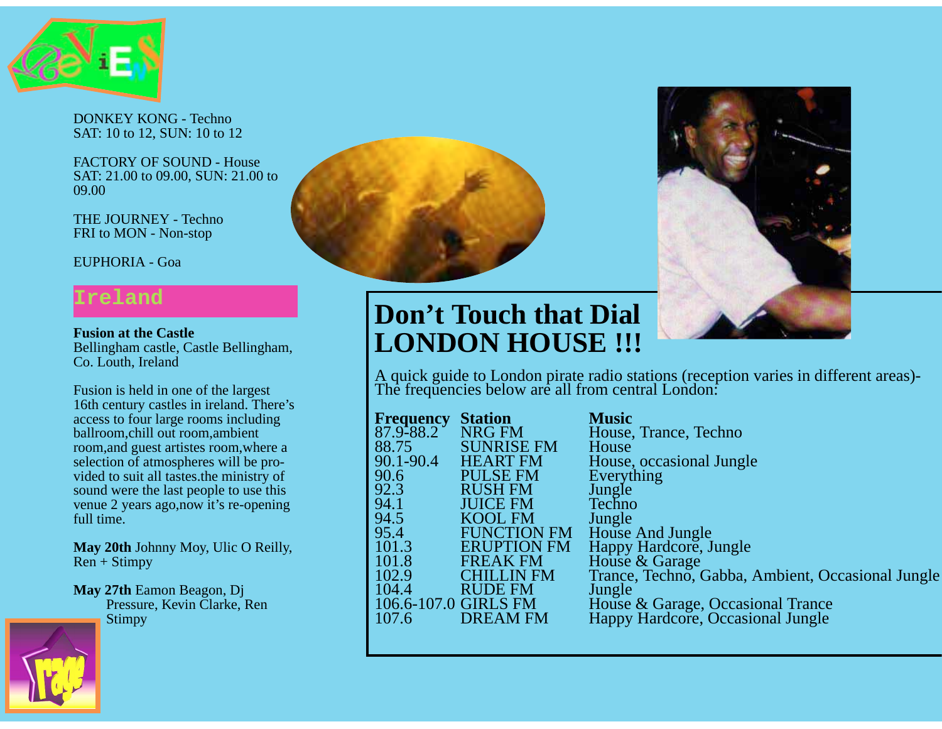

DONKEY KONG - Techno SAT: 10 to 12, SUN: 10 to 12

FACTORY OF SOUND - House SAT: 21.00 to 09.00, SUN: 21.00 to 09.00

THE JOURNEY - Techno FRI to MON - Non-stop

EUPHORIA - Goa

## **Ireland**

**Fusion at the Castle** Bellingham castle, Castle Bellingham, Co. Louth, Ireland

Fusion is held in one of the largest 16th century castles in ireland. There's access to four large rooms including ballroom,chill out room,ambient room,and guest artistes room,where a selection of atmospheres will be provided to suit all tastes.the ministry of sound were the last people to use this venue 2 years ago,now it's re-opening full time.

**May 20th** Johnny Moy, Ulic O Reilly,  $Ren + Stimpy$ 

**May 27th** Eamon Beagon, Dj Pressure, Kevin Clarke, Ren Stimpy







# **Don't Touch that Dial LONDON HOUSE !!!**

A quick guide to London pirate radio stations (reception varies in different areas)- The frequencies below are all from central London:

| <b>Frequency</b>     | <b>Station</b>     | <b>Music</b>                                      |
|----------------------|--------------------|---------------------------------------------------|
| 87.9-88.2            | <b>NRG FM</b>      | House, Trance, Techno                             |
| 88.75                | <b>SUNRISE FM</b>  | House                                             |
| 90.1-90.4            | <b>HEART FM</b>    | House, occasional Jungle                          |
| 90.6                 | <b>PULSE FM</b>    | Everything                                        |
| 92.3                 | <b>RUSH FM</b>     | Jungle                                            |
| 94.1                 | <b>JUICE FM</b>    | Techno                                            |
| 94.5                 | <b>KOOL FM</b>     | Jungle                                            |
| 95.4                 | <b>FUNCTION FM</b> | House And Jungle                                  |
| 101.3                | <b>ERUPTION FM</b> | Happy Hardcore, Jungle                            |
| 101.8                | <b>FREAK FM</b>    | House & Garage                                    |
| 102.9                | <b>CHILLIN FM</b>  | Trance, Techno, Gabba, Ambient, Occasional Jungle |
| 104.4                | <b>RUDE FM</b>     | Jungle                                            |
| 106.6-107.0 GIRLS FM |                    | House & Garage, Occasional Trance                 |
| 107.6                | <b>DREAM FM</b>    | Happy Hardcore, Occasional Jungle                 |
|                      |                    |                                                   |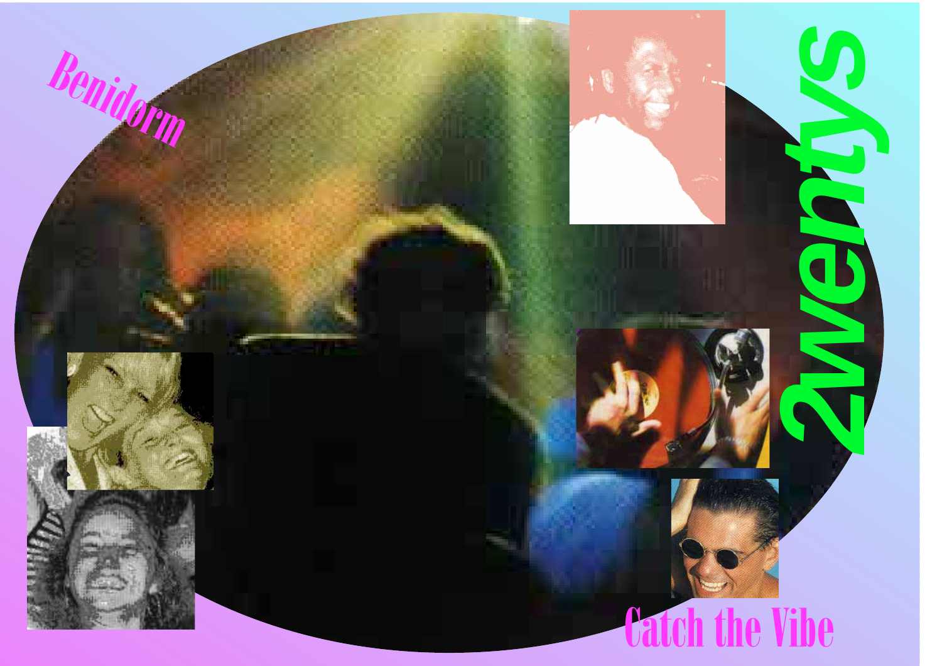<span id="page-7-0"></span>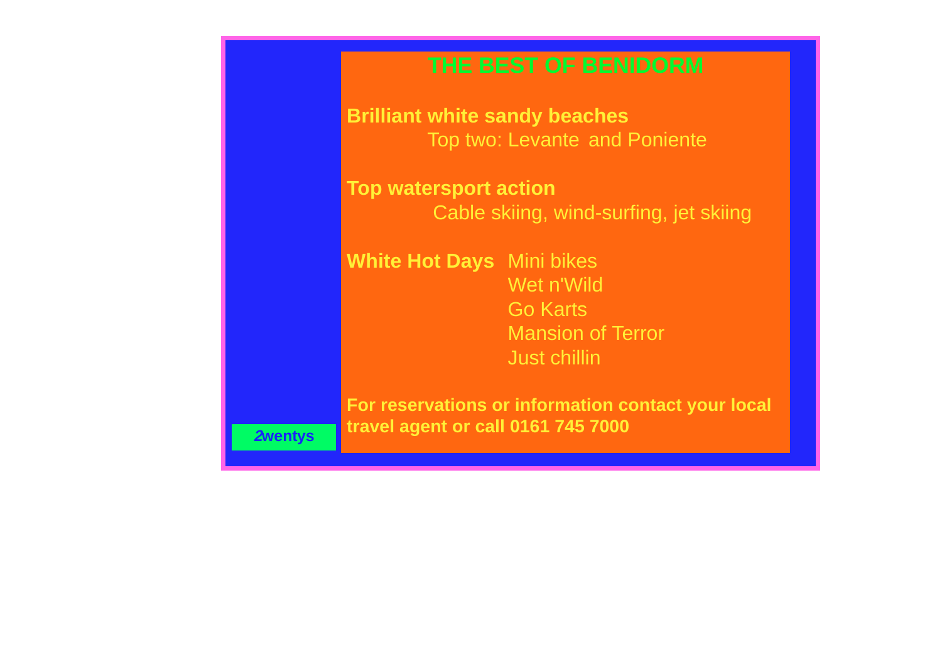## **THE BEST OF BENIDORM**

<span id="page-8-0"></span>**Brilliant white sandy beaches** Top two: Levante and Poniente

**Top watersport action** Cable skiing, wind-surfing, jet skiing

**White Hot Days** Mini bikes Wet n'Wild Go Karts Mansion of Terror Just chillin

**For reservations or information contact your local travel agent or call 0161 745 7000**

**[2wentys](#page-7-0)**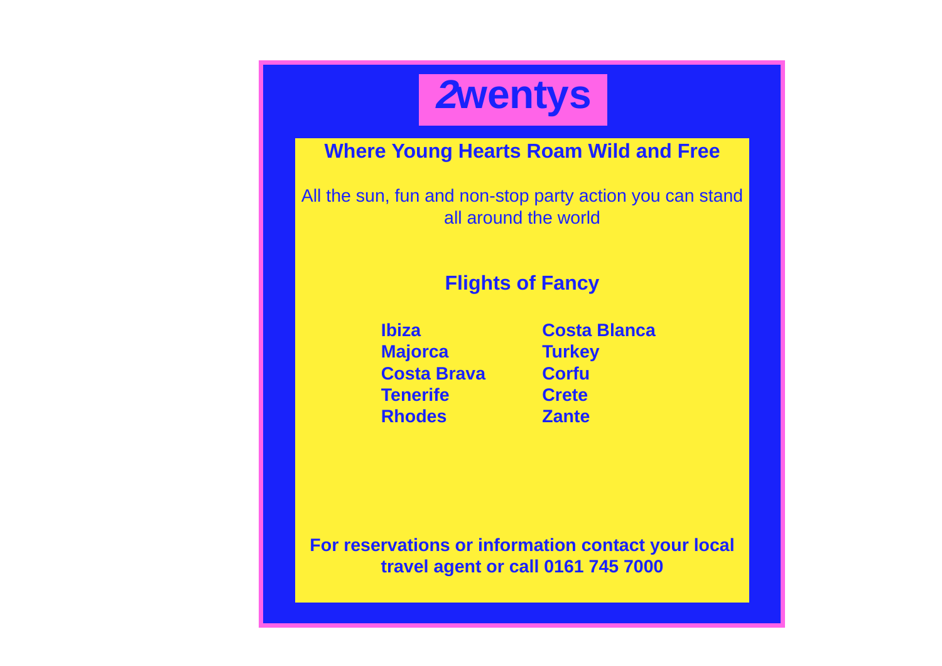

## <span id="page-9-0"></span>**Where Young Hearts Roam Wild and Free**

All the sun, fun and non-stop party action you can stand all around the world

## **Flights of Fancy**

**Majorca Turkey Costa Brava Corfu Tenerife Crete Rhodes Zante**

**Ibiza Costa Blanca**

**For reservations or information contact your local travel agent or call 0161 745 7000**